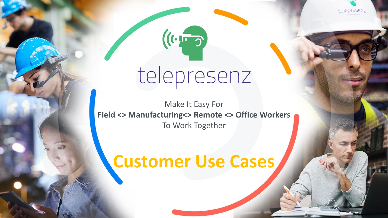telepresenz

# telepresenz

 $(\left(\cdot, \cdot\right)$ 

Make It Easy For **Field <> Manufacturing<> Remote <> Office Workers** To Work Together

## **Customer Use Cases**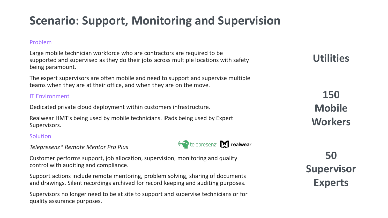### **Scenario: Support, Monitoring and Supervision**

#### Problem

Large mobile technician workforce who are contractors are required to be supported and supervised as they do their jobs across multiple locations with safety being paramount.

The expert supervisors are often mobile and need to support and supervise multiple teams when they are at their office, and when they are on the move.

#### IT Environment

Dedicated private cloud deployment within customers infrastructure.

Realwear HMT's being used by mobile technicians. iPads being used by Expert Supervisors.

#### **Solution**

*Telepresenz® Remote Mentor Pro Plus*

Customer performs support, job allocation, supervision, monitoring and quality control with auditing and compliance.

Support actions include remote mentoring, problem solving, sharing of documents and drawings. Silent recordings archived for record keeping and auditing purposes.

Supervisors no longer need to be at site to support and supervise technicians or for quality assurance purposes.

**Utilities**

**150 Mobile Workers**

**50 Supervisor Experts**

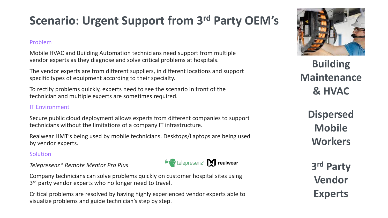### **Scenario: Urgent Support from 3rd Party OEM's**

#### Problem

Mobile HVAC and Building Automation technicians need support from multiple vendor experts as they diagnose and solve critical problems at hospitals.

The vendor experts are from different suppliers, in different locations and support specific types of equipment according to their specialty.

To rectify problems quickly, experts need to see the scenario in front of the technician and multiple experts are sometimes required.

#### IT Environment

Secure public cloud deployment allows experts from different companies to support technicians without the limitations of a company IT infrastructure.

Realwear HMT's being used by mobile technicians. Desktops/Laptops are being used by vendor experts.

#### **Solution**

#### *Telepresenz® Remote Mentor Pro Plus*

Company technicians can solve problems quickly on customer hospital sites using 3<sup>rd</sup> party vendor experts who no longer need to travel.

Critical problems are resolved by having highly experienced vendor experts able to visualize problems and guide technician's step by step.



**Building Maintenance & HVAC**

**Dispersed Mobile Workers**

**3 rd Party Vendor Experts**

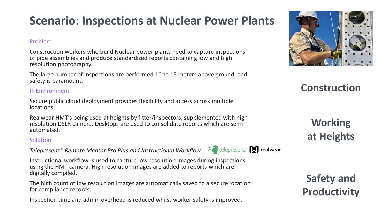### **Scenario: Inspections at Nuclear Power Plants**

#### Problem

Construction workers who build Nuclear power plants need to capture inspections of pipe assemblies and produce standardized reports containing low and high resolution photography.

The large number of inspections are performed 10 to 15 meters above ground, and safety is paramount.

#### IT Environment

Secure public cloud deployment provides flexibility and access across multiple locations.

Realwear HMT's being used at heights by fitter/inspectors, supplemented with high resolution DSLR camera. Desktops are used to consolidate reports which are semiautomated.

#### **Solution**

*Telepresenz® Remote Mentor Pro Plus and Instructional Workflow*

Instructional workflow is used to capture low resolution images during inspections using the HMT camera. High resolution images are added to reports which are digitally compiled.

The high count of low resolution images are automatically saved to a secure location for compliance records.

Inspection time and admin overhead is reduced whilst worker safety is improved.



### **Construction**

**Working at Heights**

**Safety and Productivity**

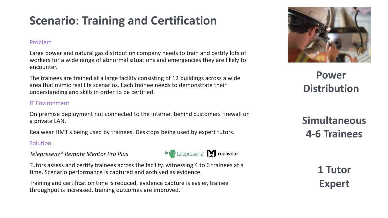### **Scenario: Training and Certification**

#### Problem

Large power and natural gas distribution company needs to train and certify lots of workers for a wide range of abnormal situations and emergencies they are likely to encounter.

The trainees are trained at a large facility consisting of 12 buildings across a wide area that mimic real life scenarios. Each trainee needs to demonstrate their understanding and skills in order to be certified.

#### IT Environment

On premise deployment not connected to the internet behind customers firewall on a private LAN.

Realwear HMT's being used by trainees. Desktops being used by expert tutors.

#### **Solution**

*Telepresenz® Remote Mentor Pro Plus*



("Fo telepresenz" Realwear

Training and certification time is reduced, evidence capture is easier, trainee throughput is increased, training outcomes are improved.



**Power Distribution**

**Simultaneous 4-6 Trainees**

> **1 Tutor Expert**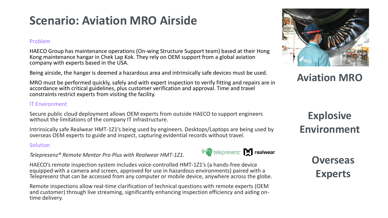### **Scenario: Aviation MRO Airside**

#### Problem

HAECO Group has maintenance operations (On-wing Structure Support team) based at their Hong Kong maintenance hangar in Chek Lap Kok. They rely on OEM support from a global aviation company with experts based in the USA.

Being airside, the hanger is deemed a hazardous area and intrinsically safe devices must be used.

MRO must be performed quickly, safely and with expert inspection to verify fitting and repairs are in accordance with critical guidelines, plus customer verification and approval. Time and travel constraints restrict experts from visiting the facility.

#### IT Environment

Secure public cloud deployment allows OEM experts from outside HAECO to support engineers without the limitations of the company IT infrastructure.

Intrinsically safe Realwear HMT-1Z1's being used by engineers. Desktops/Laptops are being used by overseas OEM experts to guide and inspect, capturing evidential records without travel.

("Po telepresenz" | realwear

#### **Solution**

*Telepresenz® Remote Mentor Pro Plus with Realwear HMT-1Z1.*

HAECO's remote inspection system includes voice-controlled HMT-1Z1's (a hands-free device equipped with a camera and screen, approved for use in hazardous environments) paired with a Telepresenz that can be accessed from any computer or mobile device, anywhere across the globe.

Remote inspections allow real-time clarification of technical questions with remote experts (OEM and customer) through live streaming, significantly enhancing inspection efficiency and aiding ontime delivery.



**Overseas** 

**Experts**



**Aviation MRO**